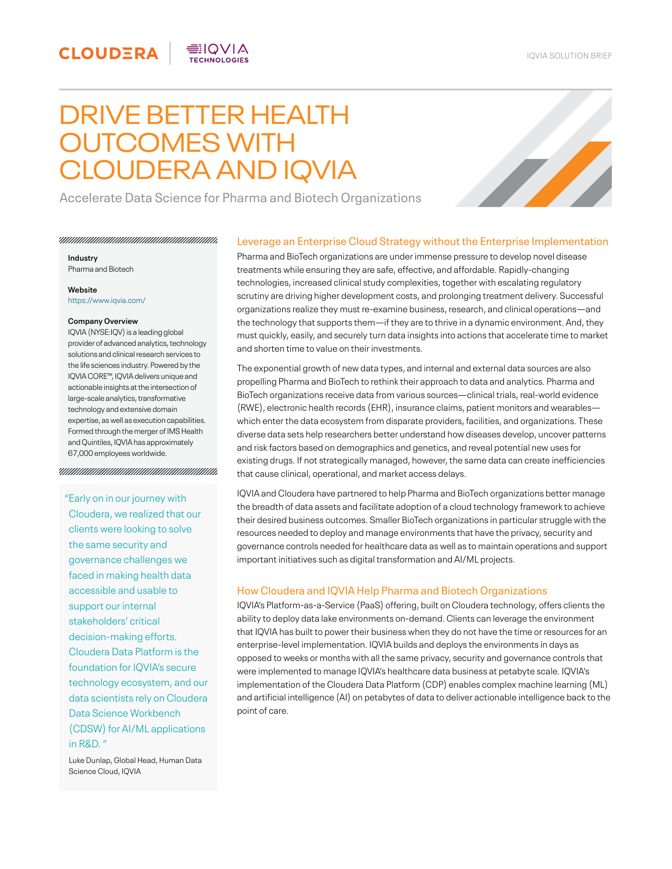# DRIVE BETTER HEALTH OUTCOMES WITH CLOUDERA AND IQVIA

EIQVIA



Accelerate Data Science for Pharma and Biotech Organizations

**Industry** 

Pharma and Biotech

**CLOUDERA** 

**Website**  <https://www.iqvia.com/>

#### **Company Overview**

IQVIA (NYSE:IQV) is a leading global provider of advanced analytics, technology solutions and clinical research services to the life sciences industry. Powered by the IQVIA CORE™, IQVIA delivers unique and actionable insights at the intersection of large-scale analytics, transformative technology and extensive domain expertise, as well as execution capabilities. Formed through the merger of IMS Health and Quintiles, IQVIA has approximately 67,000 employees worldwide.

#### 

### "Early on in our journey with

Cloudera, we realized that our clients were looking to solve the same security and governance challenges we faced in making health data accessible and usable to support our internal stakeholders' critical decision-making efforts. Cloudera Data Platform is the foundation for IQVIA's secure technology ecosystem, and our data scientists rely on Cloudera Data Science Workbench (CDSW) for AI/ML applications in R&D. "

Luke Dunlap, Global Head, Human Data Science Cloud, IQVIA

# Leverage an Enterprise Cloud Strategy without the Enterprise Implementation

Pharma and BioTech organizations are under immense pressure to develop novel disease treatments while ensuring they are safe, effective, and affordable. Rapidly-changing technologies, increased clinical study complexities, together with escalating regulatory scrutiny are driving higher development costs, and prolonging treatment delivery. Successful organizations realize they must re-examine business, research, and clinical operations—and the technology that supports them—if they are to thrive in a dynamic environment. And, they must quickly, easily, and securely turn data insights into actions that accelerate time to market and shorten time to value on their investments.

The exponential growth of new data types, and internal and external data sources are also propelling Pharma and BioTech to rethink their approach to data and analytics. Pharma and BioTech organizations receive data from various sources—clinical trials, real-world evidence (RWE), electronic health records (EHR), insurance claims, patient monitors and wearables which enter the data ecosystem from disparate providers, facilities, and organizations. These diverse data sets help researchers better understand how diseases develop, uncover patterns and risk factors based on demographics and genetics, and reveal potential new uses for existing drugs. If not strategically managed, however, the same data can create inefficiencies that cause clinical, operational, and market access delays.

IQVIA and Cloudera have partnered to help Pharma and BioTech organizations better manage the breadth of data assets and facilitate adoption of a cloud technology framework to achieve their desired business outcomes. Smaller BioTech organizations in particular struggle with the resources needed to deploy and manage environments that have the privacy, security and governance controls needed for healthcare data as well as to maintain operations and support important initiatives such as digital transformation and AI/ML projects.

## How Cloudera and IQVIA Help Pharma and Biotech Organizations

IQVIA's Platform-as-a-Service (PaaS) offering, built on Cloudera technology, offers clients the ability to deploy data lake environments on-demand. Clients can leverage the environment that IQVIA has built to power their business when they do not have the time or resources for an enterprise-level implementation. IQVIA builds and deploys the environments in days as opposed to weeks or months with all the same privacy, security and governance controls that were implemented to manage IQVIA's healthcare data business at petabyte scale. IQVIA's implementation of the Cloudera Data Platform (CDP) enables complex machine learning (ML) and artificial intelligence (AI) on petabytes of data to deliver actionable intelligence back to the point of care.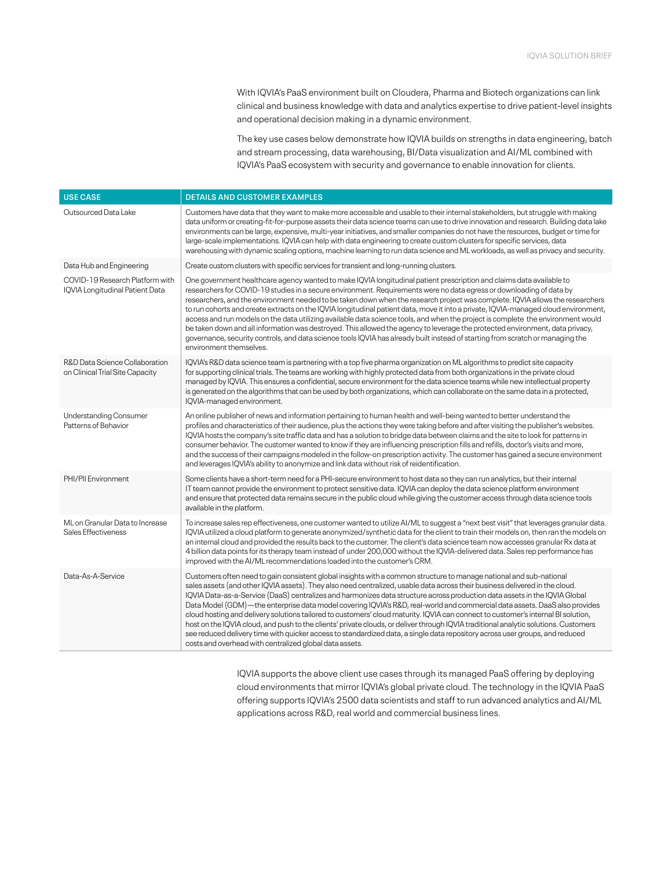With IQVIA's PaaS environment built on Cloudera, Pharma and Biotech organizations can link clinical and business knowledge with data and analytics expertise to drive patient-level insights and operational decision making in a dynamic environment.

The key use cases below demonstrate how IQVIA builds on strengths in data engineering, batch and stream processing, data warehousing, BI/Data visualization and AI/ML combined with IQVIA's PaaS ecosystem with security and governance to enable innovation for clients.

| <b>USE CASE</b>                                                    | <b>DETAILS AND CUSTOMER EXAMPLES</b>                                                                                                                                                                                                                                                                                                                                                                                                                                                                                                                                                                                                                                                                                                                                                                                                                                                                                                                                                    |
|--------------------------------------------------------------------|-----------------------------------------------------------------------------------------------------------------------------------------------------------------------------------------------------------------------------------------------------------------------------------------------------------------------------------------------------------------------------------------------------------------------------------------------------------------------------------------------------------------------------------------------------------------------------------------------------------------------------------------------------------------------------------------------------------------------------------------------------------------------------------------------------------------------------------------------------------------------------------------------------------------------------------------------------------------------------------------|
| Outsourced Data Lake                                               | Customers have data that they want to make more accessible and usable to their internal stakeholders, but struggle with making<br>data uniform or creating-fit-for-purpose assets their data science teams can use to drive innovation and research. Building data lake<br>environments can be large, expensive, multi-year initiatives, and smaller companies do not have the resources, budget or time for<br>large-scale implementations. IQVIA can help with data engineering to create custom clusters for specific services, data<br>warehousing with dynamic scaling options, machine learning to run data science and ML workloads, as well as privacy and security.                                                                                                                                                                                                                                                                                                            |
| Data Hub and Engineering                                           | Create custom clusters with specific services for transient and long-running clusters.                                                                                                                                                                                                                                                                                                                                                                                                                                                                                                                                                                                                                                                                                                                                                                                                                                                                                                  |
| COVID-19 Research Platform with<br>IQVIA Longitudinal Patient Data | One government healthcare agency wanted to make IQVIA longitudinal patient prescription and claims data available to<br>researchers for COVID-19 studies in a secure environment. Requirements were no data egress or downloading of data by<br>researchers, and the environment needed to be taken down when the research project was complete. IQVIA allows the researchers<br>to run cohorts and create extracts on the IQVIA longitudinal patient data, move it into a private, IQVIA-managed cloud environment,<br>access and run models on the data utilizing available data science tools, and when the project is complete the environment would<br>be taken down and all information was destroyed. This allowed the agency to leverage the protected environment, data privacy,<br>governance, security controls, and data science tools IQVIA has already built instead of starting from scratch or managing the<br>environment themselves.                                  |
| R&D Data Science Collaboration<br>on Clinical Trial Site Capacity  | IQVIA's R&D data science team is partnering with a top five pharma organization on ML algorithms to predict site capacity<br>for supporting clinical trials. The teams are working with highly protected data from both organizations in the private cloud<br>managed by IQVIA. This ensures a confidential, secure environment for the data science teams while new intellectual property<br>is generated on the algorithms that can be used by both organizations, which can collaborate on the same data in a protected,<br>IQVIA-managed environment.                                                                                                                                                                                                                                                                                                                                                                                                                               |
| <b>Understanding Consumer</b><br>Patterns of Behavior              | An online publisher of news and information pertaining to human health and well-being wanted to better understand the<br>profiles and characteristics of their audience, plus the actions they were taking before and after visiting the publisher's websites.<br>IQVIA hosts the company's site traffic data and has a solution to bridge data between claims and the site to look for patterns in<br>consumer behavior. The customer wanted to know if they are influencing prescription fills and refills, doctor's visits and more,<br>and the success of their campaigns modeled in the follow-on prescription activity. The customer has gained a secure environment<br>and leverages IQVIA's ability to anonymize and link data without risk of reidentification.                                                                                                                                                                                                                |
| PHI/PII Environment                                                | Some clients have a short-term need for a PHI-secure environment to host data so they can run analytics, but their internal<br>IT team cannot provide the environment to protect sensitive data. IQVIA can deploy the data science platform environment<br>and ensure that protected data remains secure in the public cloud while giving the customer access through data science tools<br>available in the platform.                                                                                                                                                                                                                                                                                                                                                                                                                                                                                                                                                                  |
| ML on Granular Data to Increase<br>Sales Effectiveness             | To increase sales rep effectiveness, one customer wanted to utilize AI/ML to suggest a "next best visit" that leverages granular data.<br>IQVIA utilized a cloud platform to generate anonymized/synthetic data for the client to train their models on, then ran the models on<br>an internal cloud and provided the results back to the customer. The client's data science team now accesses granular Rx data at<br>4 billion data points for its therapy team instead of under 200,000 without the IQVIA-delivered data. Sales rep performance has<br>improved with the AI/ML recommendations loaded into the customer's CRM.                                                                                                                                                                                                                                                                                                                                                       |
| Data-As-A-Service                                                  | Customers often need to gain consistent global insights with a common structure to manage national and sub-national<br>sales assets (and other IQVIA assets). They also need centralized, usable data across their business delivered in the cloud.<br>IQVIA Data-as-a-Service (DaaS) centralizes and harmonizes data structure across production data assets in the IQVIA Global<br>Data Model (GDM)—the enterprise data model covering IQVIA's R&D, real-world and commercial data assets. DaaS also provides<br>cloud hosting and delivery solutions tailored to customers' cloud maturity. IQVIA can connect to customer's internal BI solution,<br>host on the IQVIA cloud, and push to the clients' private clouds, or deliver through IQVIA traditional analytic solutions. Customers<br>see reduced delivery time with quicker access to standardized data, a single data repository across user groups, and reduced<br>costs and overhead with centralized global data assets. |

IQVIA supports the above client use cases through its managed PaaS offering by deploying cloud environments that mirror IQVIA's global private cloud. The technology in the IQVIA PaaS offering supports IQVIA's 2500 data scientists and staff to run advanced analytics and AI/ML applications across R&D, real world and commercial business lines.